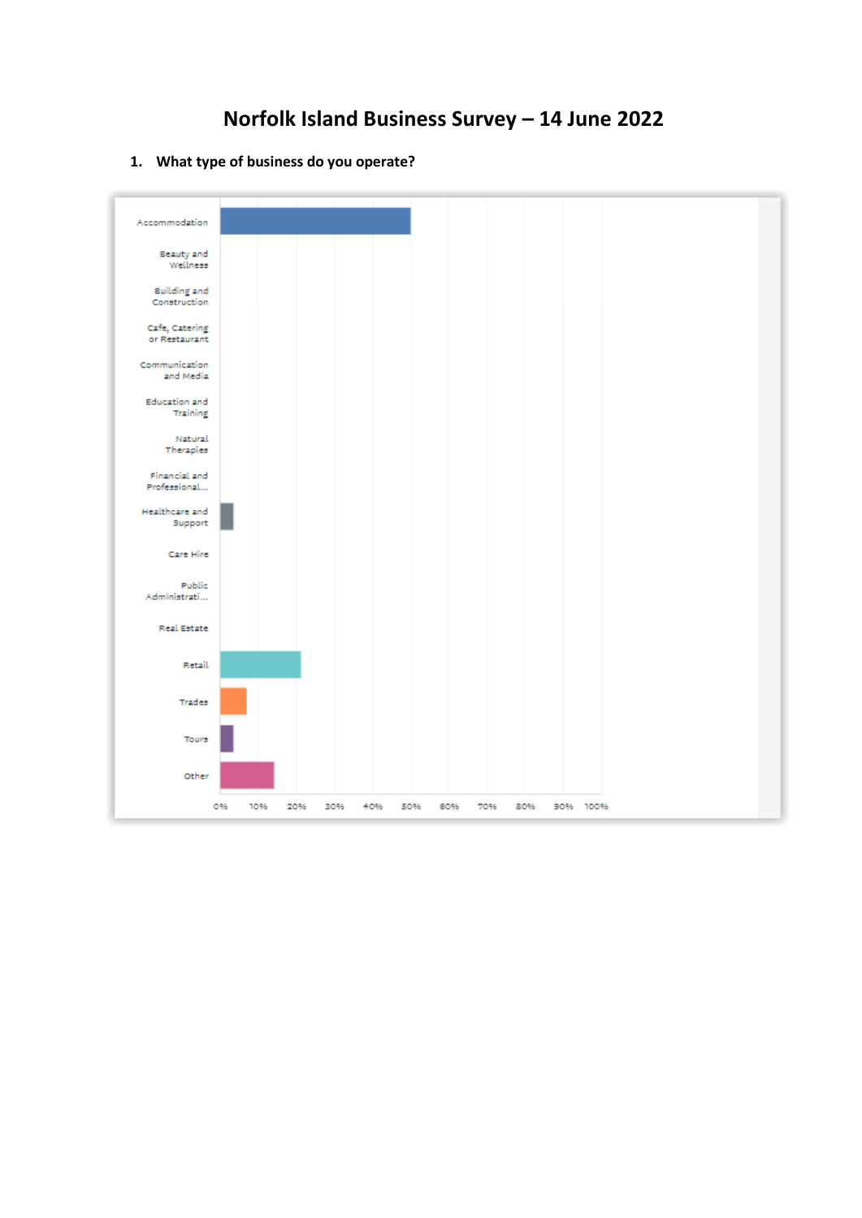**1. What type of business do you operate?** 

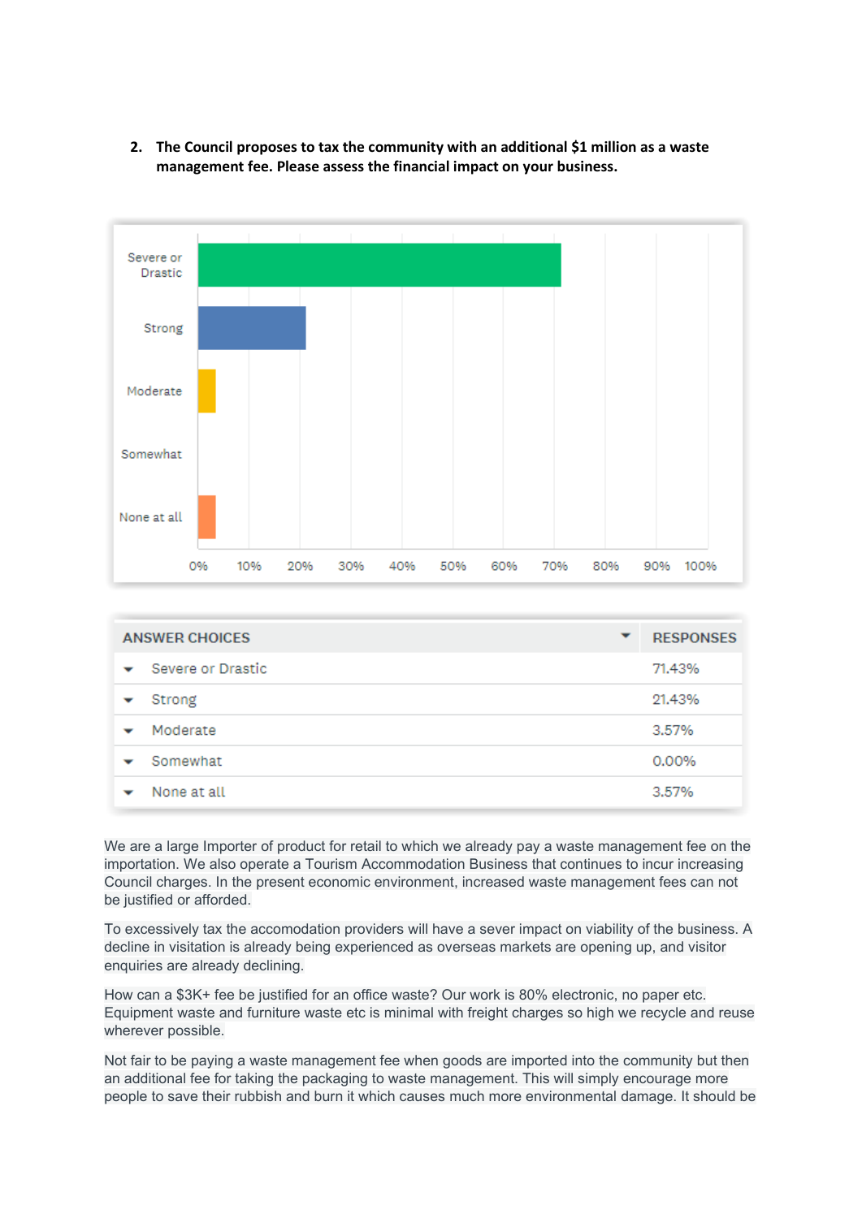

**2. The Council proposes to tax the community with an additional \$1 million as a waste management fee. Please assess the financial impact on your business.** 

| <b>ANSWER CHOICES</b><br>▼ |                   | <b>RESPONSES</b> |        |
|----------------------------|-------------------|------------------|--------|
| $\checkmark$               | Severe or Drastic |                  | 71.43% |
|                            | Strong            |                  | 21.43% |
| ▼                          | Moderate          |                  | 3.57%  |
| ۔                          | Somewhat          |                  | 0.00%  |
|                            | None at all       |                  | 3.57%  |

We are a large Importer of product for retail to which we already pay a waste management fee on the importation. We also operate a Tourism Accommodation Business that continues to incur increasing Council charges. In the present economic environment, increased waste management fees can not be justified or afforded.

To excessively tax the accomodation providers will have a sever impact on viability of the business. A decline in visitation is already being experienced as overseas markets are opening up, and visitor enquiries are already declining.

How can a \$3K+ fee be justified for an office waste? Our work is 80% electronic, no paper etc. Equipment waste and furniture waste etc is minimal with freight charges so high we recycle and reuse wherever possible.

Not fair to be paying a waste management fee when goods are imported into the community but then an additional fee for taking the packaging to waste management. This will simply encourage more people to save their rubbish and burn it which causes much more environmental damage. It should be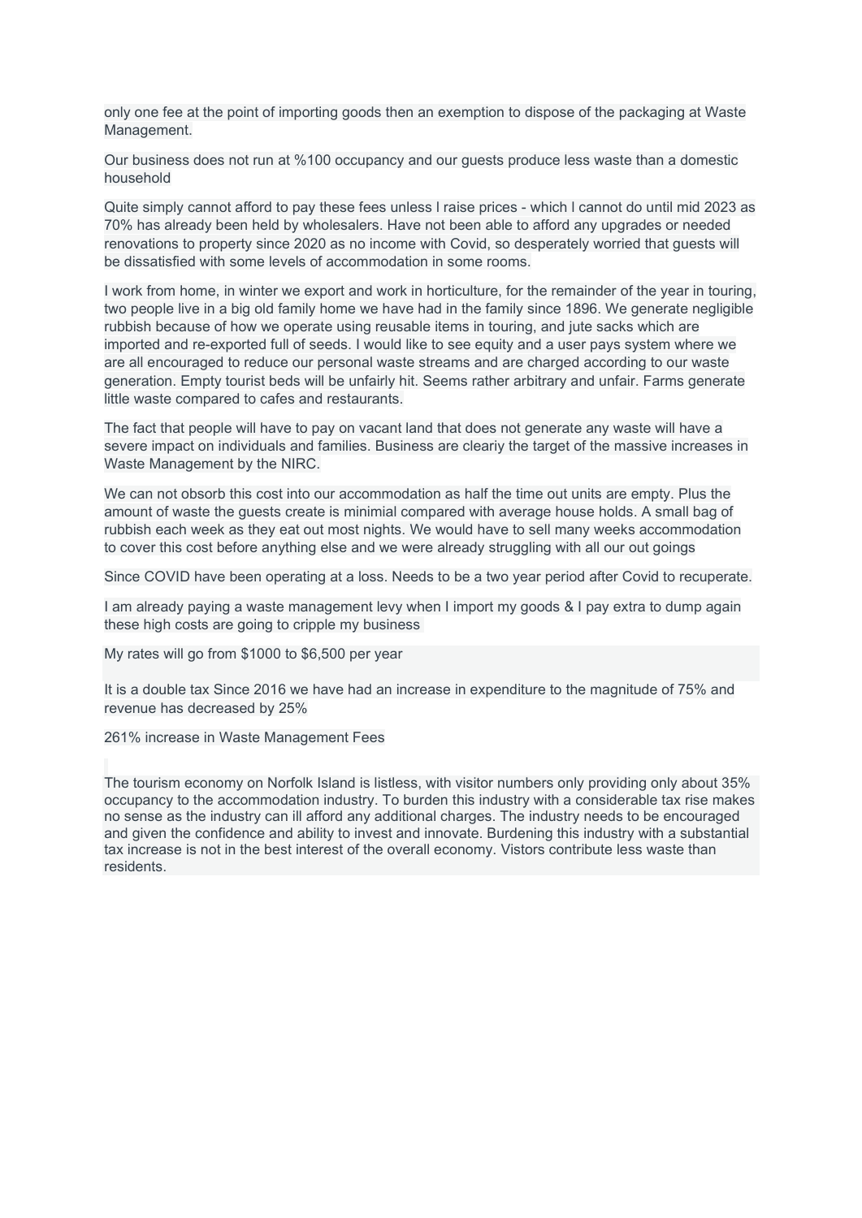only one fee at the point of importing goods then an exemption to dispose of the packaging at Waste Management.

Our business does not run at %100 occupancy and our guests produce less waste than a domestic household

Quite simply cannot afford to pay these fees unless l raise prices - which l cannot do until mid 2023 as 70% has already been held by wholesalers. Have not been able to afford any upgrades or needed renovations to property since 2020 as no income with Covid, so desperately worried that guests will be dissatisfied with some levels of accommodation in some rooms.

I work from home, in winter we export and work in horticulture, for the remainder of the year in touring, two people live in a big old family home we have had in the family since 1896. We generate negligible rubbish because of how we operate using reusable items in touring, and jute sacks which are imported and re-exported full of seeds. I would like to see equity and a user pays system where we are all encouraged to reduce our personal waste streams and are charged according to our waste generation. Empty tourist beds will be unfairly hit. Seems rather arbitrary and unfair. Farms generate little waste compared to cafes and restaurants.

The fact that people will have to pay on vacant land that does not generate any waste will have a severe impact on individuals and families. Business are cleariy the target of the massive increases in Waste Management by the NIRC.

We can not obsorb this cost into our accommodation as half the time out units are empty. Plus the amount of waste the guests create is minimial compared with average house holds. A small bag of rubbish each week as they eat out most nights. We would have to sell many weeks accommodation to cover this cost before anything else and we were already struggling with all our out goings

Since COVID have been operating at a loss. Needs to be a two year period after Covid to recuperate.

I am already paying a waste management levy when I import my goods & I pay extra to dump again these high costs are going to cripple my business

My rates will go from \$1000 to \$6,500 per year

It is a double tax Since 2016 we have had an increase in expenditure to the magnitude of 75% and revenue has decreased by 25%

261% increase in Waste Management Fees

The tourism economy on Norfolk Island is listless, with visitor numbers only providing only about 35% occupancy to the accommodation industry. To burden this industry with a considerable tax rise makes no sense as the industry can ill afford any additional charges. The industry needs to be encouraged and given the confidence and ability to invest and innovate. Burdening this industry with a substantial tax increase is not in the best interest of the overall economy. Vistors contribute less waste than residents.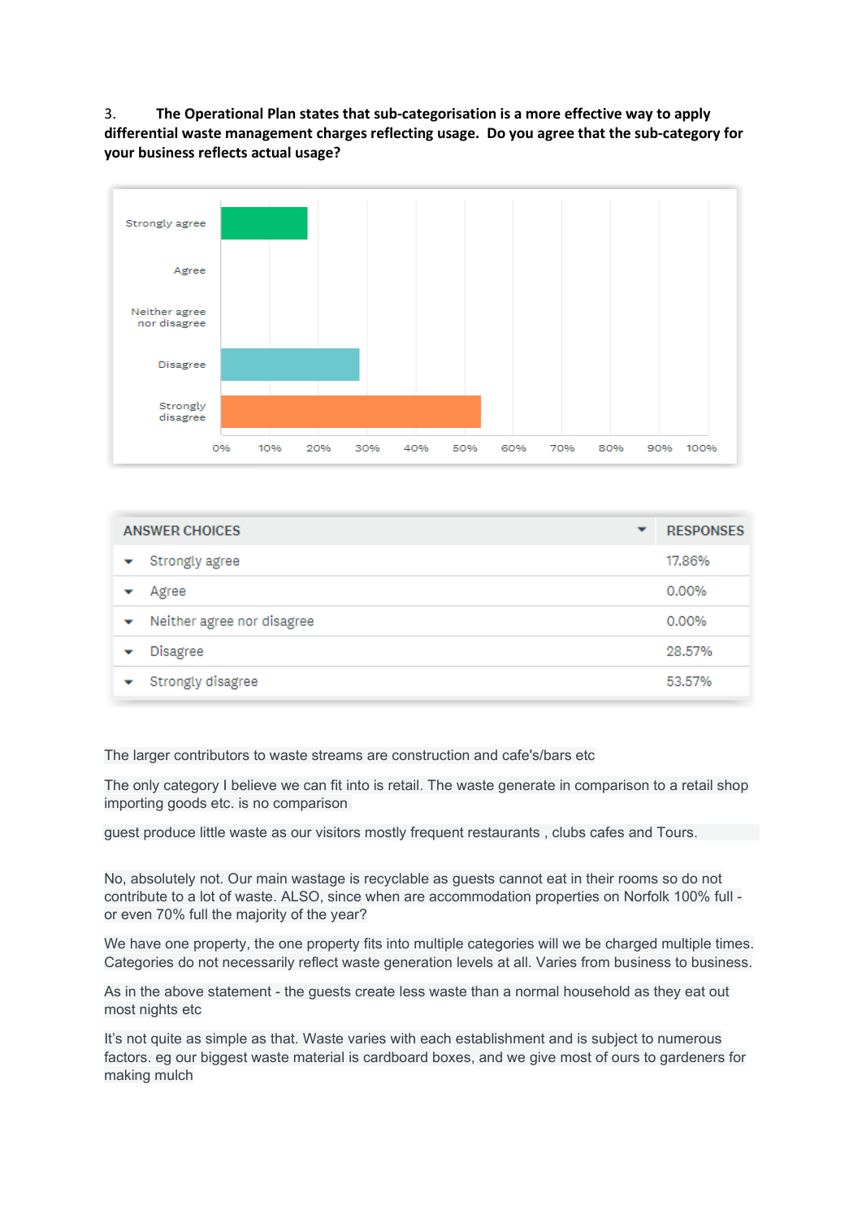3. **The Operational Plan states that sub-categorisation is a more effective way to apply differential waste management charges reflecting usage. Do you agree that the sub-category for your business reflects actual usage?** 



| <b>ANSWER CHOICES</b><br>▼ |                            | <b>RESPONSES</b> |        |
|----------------------------|----------------------------|------------------|--------|
| ▽                          | Strongly agree             |                  | 17.86% |
|                            | Agree                      |                  | 0.00%  |
| ▼                          | Neither agree nor disagree |                  | 0.00%  |
|                            | <b>Disagree</b>            |                  | 28.57% |
|                            | Strongly disagree          |                  | 53.57% |

The larger contributors to waste streams are construction and cafe's/bars etc

The only category I believe we can fit into is retail. The waste generate in comparison to a retail shop importing goods etc. is no comparison

guest produce little waste as our visitors mostly frequent restaurants , clubs cafes and Tours.

No, absolutely not. Our main wastage is recyclable as guests cannot eat in their rooms so do not contribute to a lot of waste. ALSO, since when are accommodation properties on Norfolk 100% full or even 70% full the majority of the year?

We have one property, the one property fits into multiple categories will we be charged multiple times. Categories do not necessarily reflect waste generation levels at all. Varies from business to business.

As in the above statement - the guests create less waste than a normal household as they eat out most nights etc

It's not quite as simple as that. Waste varies with each establishment and is subject to numerous factors. eg our biggest waste material is cardboard boxes, and we give most of ours to gardeners for making mulch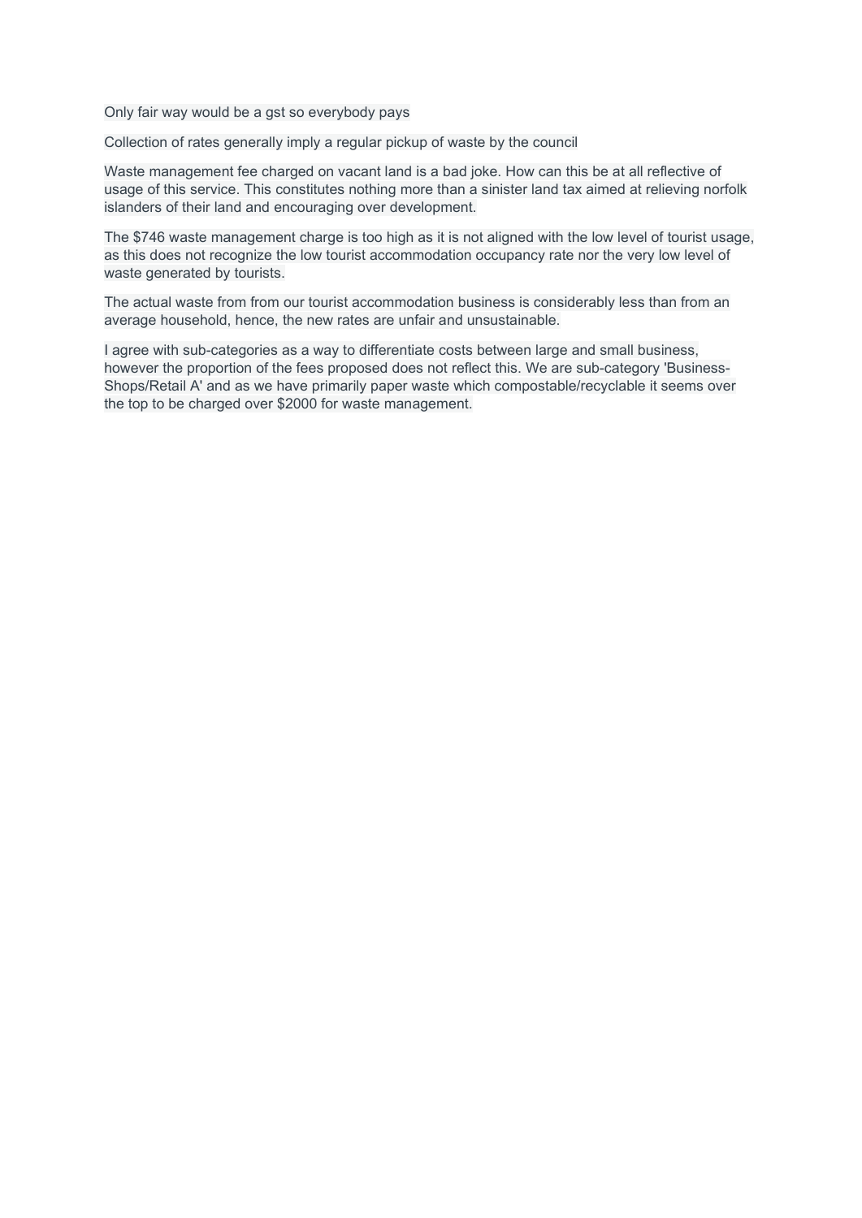Only fair way would be a gst so everybody pays

Collection of rates generally imply a regular pickup of waste by the council

Waste management fee charged on vacant land is a bad joke. How can this be at all reflective of usage of this service. This constitutes nothing more than a sinister land tax aimed at relieving norfolk islanders of their land and encouraging over development.

The \$746 waste management charge is too high as it is not aligned with the low level of tourist usage, as this does not recognize the low tourist accommodation occupancy rate nor the very low level of waste generated by tourists.

The actual waste from from our tourist accommodation business is considerably less than from an average household, hence, the new rates are unfair and unsustainable.

I agree with sub-categories as a way to differentiate costs between large and small business, however the proportion of the fees proposed does not reflect this. We are sub-category 'Business-Shops/Retail A' and as we have primarily paper waste which compostable/recyclable it seems over the top to be charged over \$2000 for waste management.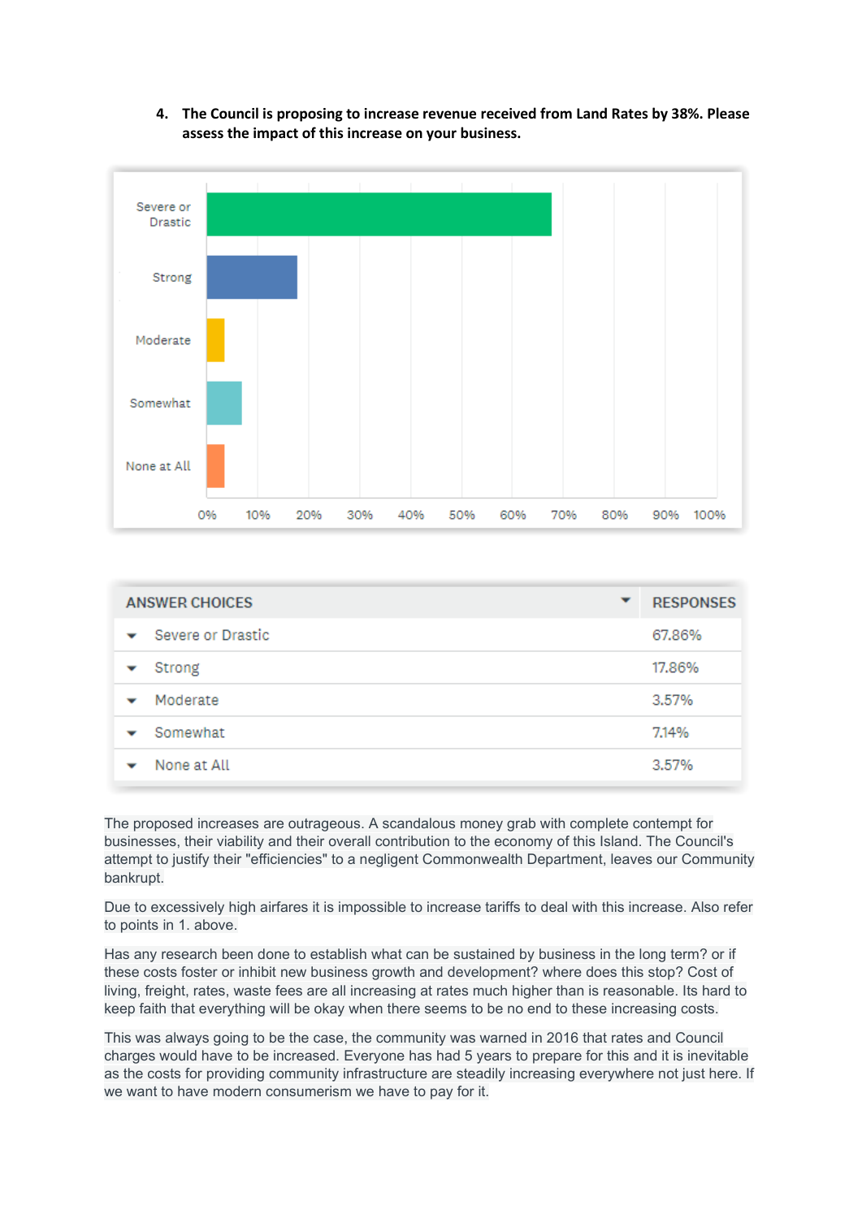**4. The Council is proposing to increase revenue received from Land Rates by 38%. Please assess the impact of this increase on your business.**



| <b>ANSWER CHOICES</b> | ▼ | <b>RESPONSES</b> |
|-----------------------|---|------------------|
| Severe or Drastic     |   | 67.86%           |
| Strong                |   | 17.86%           |
| Moderate              |   | 3.57%            |
| Somewhat              |   | 7.14%            |
| None at All           |   | 3.57%            |

The proposed increases are outrageous. A scandalous money grab with complete contempt for businesses, their viability and their overall contribution to the economy of this Island. The Council's attempt to justify their "efficiencies" to a negligent Commonwealth Department, leaves our Community bankrupt.

Due to excessively high airfares it is impossible to increase tariffs to deal with this increase. Also refer to points in 1. above.

Has any research been done to establish what can be sustained by business in the long term? or if these costs foster or inhibit new business growth and development? where does this stop? Cost of living, freight, rates, waste fees are all increasing at rates much higher than is reasonable. Its hard to keep faith that everything will be okay when there seems to be no end to these increasing costs.

This was always going to be the case, the community was warned in 2016 that rates and Council charges would have to be increased. Everyone has had 5 years to prepare for this and it is inevitable as the costs for providing community infrastructure are steadily increasing everywhere not just here. If we want to have modern consumerism we have to pay for it.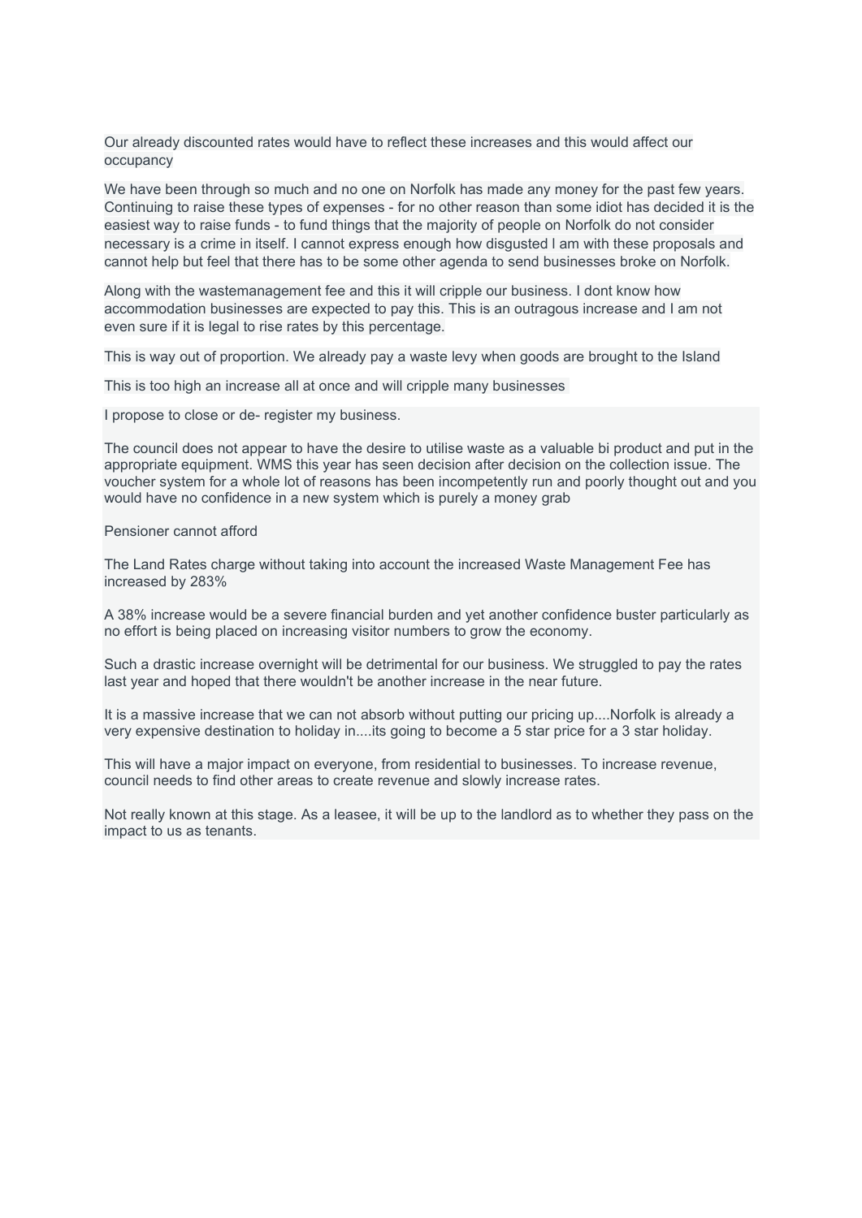Our already discounted rates would have to reflect these increases and this would affect our occupancy

We have been through so much and no one on Norfolk has made any money for the past few years. Continuing to raise these types of expenses - for no other reason than some idiot has decided it is the easiest way to raise funds - to fund things that the majority of people on Norfolk do not consider necessary is a crime in itself. I cannot express enough how disgusted l am with these proposals and cannot help but feel that there has to be some other agenda to send businesses broke on Norfolk.

Along with the wastemanagement fee and this it will cripple our business. I dont know how accommodation businesses are expected to pay this. This is an outragous increase and I am not even sure if it is legal to rise rates by this percentage.

This is way out of proportion. We already pay a waste levy when goods are brought to the Island

This is too high an increase all at once and will cripple many businesses

I propose to close or de- register my business.

The council does not appear to have the desire to utilise waste as a valuable bi product and put in the appropriate equipment. WMS this year has seen decision after decision on the collection issue. The voucher system for a whole lot of reasons has been incompetently run and poorly thought out and you would have no confidence in a new system which is purely a money grab

Pensioner cannot afford

The Land Rates charge without taking into account the increased Waste Management Fee has increased by 283%

A 38% increase would be a severe financial burden and yet another confidence buster particularly as no effort is being placed on increasing visitor numbers to grow the economy.

Such a drastic increase overnight will be detrimental for our business. We struggled to pay the rates last year and hoped that there wouldn't be another increase in the near future.

It is a massive increase that we can not absorb without putting our pricing up....Norfolk is already a very expensive destination to holiday in....its going to become a 5 star price for a 3 star holiday.

This will have a major impact on everyone, from residential to businesses. To increase revenue, council needs to find other areas to create revenue and slowly increase rates.

Not really known at this stage. As a leasee, it will be up to the landlord as to whether they pass on the impact to us as tenants.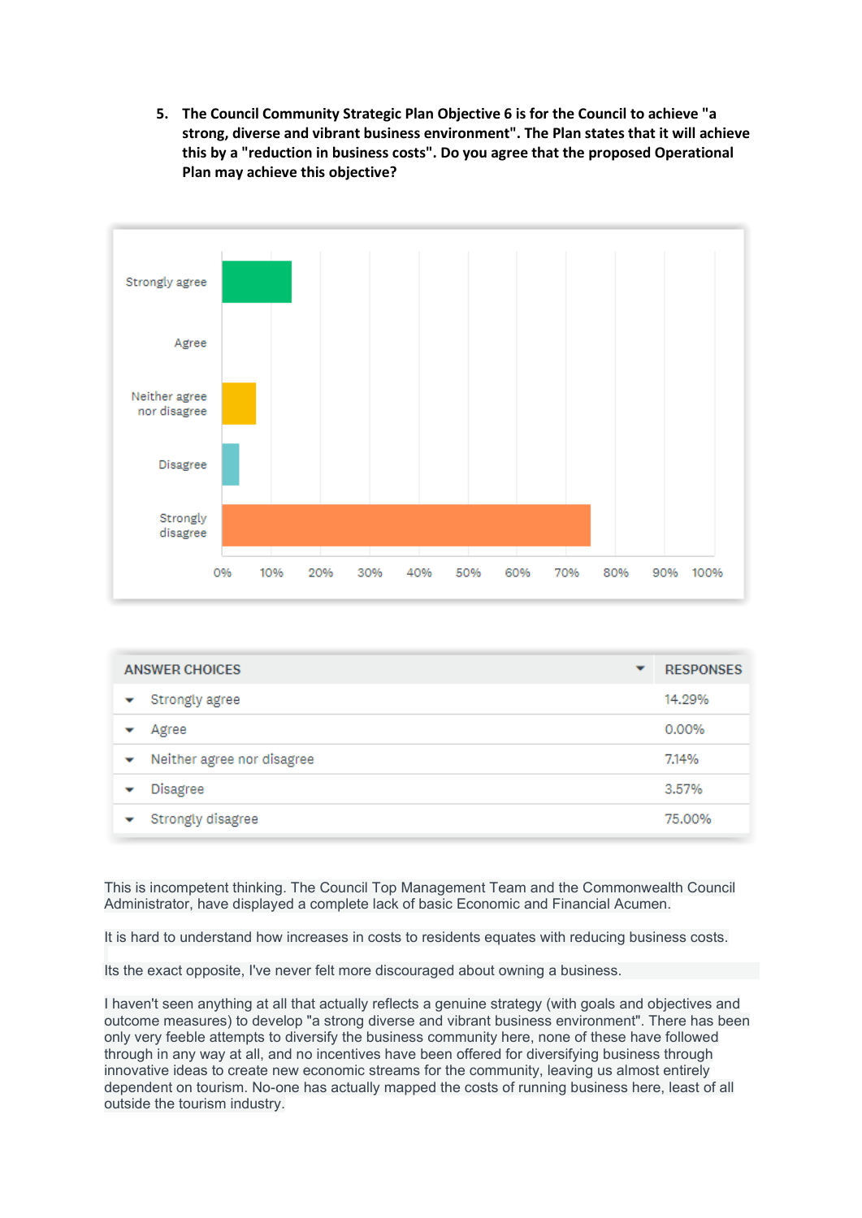**5. The Council Community Strategic Plan Objective 6 is for the Council to achieve "a strong, diverse and vibrant business environment". The Plan states that it will achieve this by a "reduction in business costs". Do you agree that the proposed Operational Plan may achieve this objective?** 



| <b>ANSWER CHOICES</b><br>▼      |  | <b>RESPONSES</b> |
|---------------------------------|--|------------------|
| Strongly agree                  |  | 14.29%           |
| Agree                           |  | 0.00%            |
| Neither agree nor disagree<br>v |  | 7.14%            |
| Disagree<br>▼                   |  | 3.57%            |
| Strongly disagree               |  | 75,00%           |

This is incompetent thinking. The Council Top Management Team and the Commonwealth Council Administrator, have displayed a complete lack of basic Economic and Financial Acumen.

It is hard to understand how increases in costs to residents equates with reducing business costs.

Its the exact opposite, I've never felt more discouraged about owning a business.

I haven't seen anything at all that actually reflects a genuine strategy (with goals and objectives and outcome measures) to develop "a strong diverse and vibrant business environment". There has been only very feeble attempts to diversify the business community here, none of these have followed through in any way at all, and no incentives have been offered for diversifying business through innovative ideas to create new economic streams for the community, leaving us almost entirely dependent on tourism. No-one has actually mapped the costs of running business here, least of all outside the tourism industry.